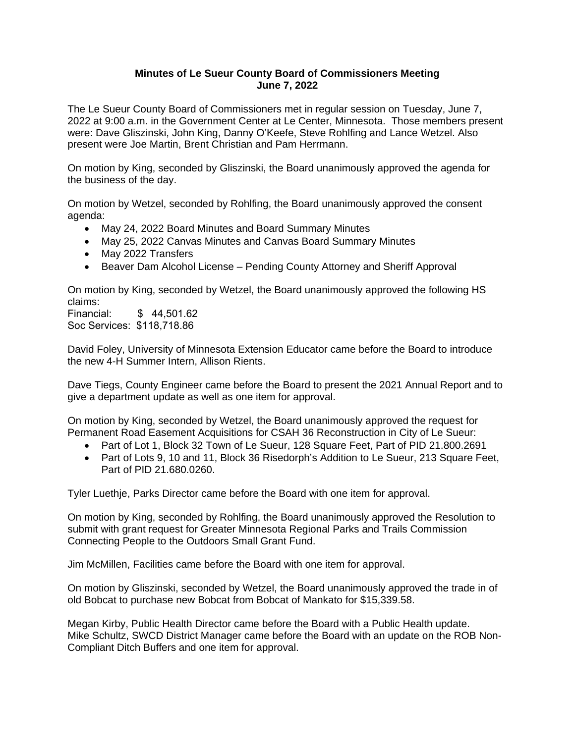## **Minutes of Le Sueur County Board of Commissioners Meeting June 7, 2022**

The Le Sueur County Board of Commissioners met in regular session on Tuesday, June 7, 2022 at 9:00 a.m. in the Government Center at Le Center, Minnesota. Those members present were: Dave Gliszinski, John King, Danny O'Keefe, Steve Rohlfing and Lance Wetzel. Also present were Joe Martin, Brent Christian and Pam Herrmann.

On motion by King, seconded by Gliszinski, the Board unanimously approved the agenda for the business of the day.

On motion by Wetzel, seconded by Rohlfing, the Board unanimously approved the consent agenda:

- May 24, 2022 Board Minutes and Board Summary Minutes
- May 25, 2022 Canvas Minutes and Canvas Board Summary Minutes
- May 2022 Transfers
- Beaver Dam Alcohol License Pending County Attorney and Sheriff Approval

On motion by King, seconded by Wetzel, the Board unanimously approved the following HS claims:

Financial: \$ 44,501.62 Soc Services: \$118,718.86

David Foley, University of Minnesota Extension Educator came before the Board to introduce the new 4-H Summer Intern, Allison Rients.

Dave Tiegs, County Engineer came before the Board to present the 2021 Annual Report and to give a department update as well as one item for approval.

On motion by King, seconded by Wetzel, the Board unanimously approved the request for Permanent Road Easement Acquisitions for CSAH 36 Reconstruction in City of Le Sueur:

- Part of Lot 1, Block 32 Town of Le Sueur, 128 Square Feet, Part of PID 21,800,2691
- Part of Lots 9, 10 and 11, Block 36 Risedorph's Addition to Le Sueur, 213 Square Feet, Part of PID 21.680.0260.

Tyler Luethje, Parks Director came before the Board with one item for approval.

On motion by King, seconded by Rohlfing, the Board unanimously approved the Resolution to submit with grant request for Greater Minnesota Regional Parks and Trails Commission Connecting People to the Outdoors Small Grant Fund.

Jim McMillen, Facilities came before the Board with one item for approval.

On motion by Gliszinski, seconded by Wetzel, the Board unanimously approved the trade in of old Bobcat to purchase new Bobcat from Bobcat of Mankato for \$15,339.58.

Megan Kirby, Public Health Director came before the Board with a Public Health update. Mike Schultz, SWCD District Manager came before the Board with an update on the ROB Non-Compliant Ditch Buffers and one item for approval.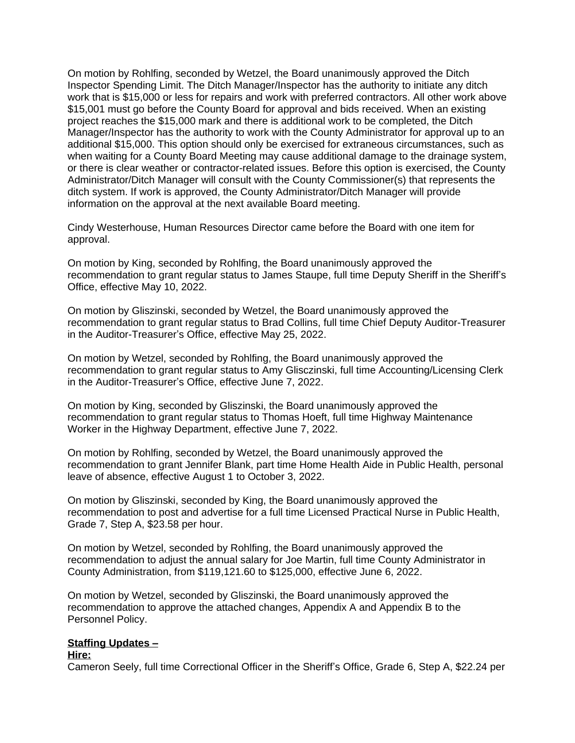On motion by Rohlfing, seconded by Wetzel, the Board unanimously approved the Ditch Inspector Spending Limit. The Ditch Manager/Inspector has the authority to initiate any ditch work that is \$15,000 or less for repairs and work with preferred contractors. All other work above \$15,001 must go before the County Board for approval and bids received. When an existing project reaches the \$15,000 mark and there is additional work to be completed, the Ditch Manager/Inspector has the authority to work with the County Administrator for approval up to an additional \$15,000. This option should only be exercised for extraneous circumstances, such as when waiting for a County Board Meeting may cause additional damage to the drainage system, or there is clear weather or contractor-related issues. Before this option is exercised, the County Administrator/Ditch Manager will consult with the County Commissioner(s) that represents the ditch system. If work is approved, the County Administrator/Ditch Manager will provide information on the approval at the next available Board meeting.

Cindy Westerhouse, Human Resources Director came before the Board with one item for approval.

On motion by King, seconded by Rohlfing, the Board unanimously approved the recommendation to grant regular status to James Staupe, full time Deputy Sheriff in the Sheriff's Office, effective May 10, 2022.

On motion by Gliszinski, seconded by Wetzel, the Board unanimously approved the recommendation to grant regular status to Brad Collins, full time Chief Deputy Auditor-Treasurer in the Auditor-Treasurer's Office, effective May 25, 2022.

On motion by Wetzel, seconded by Rohlfing, the Board unanimously approved the recommendation to grant regular status to Amy Glisczinski, full time Accounting/Licensing Clerk in the Auditor-Treasurer's Office, effective June 7, 2022.

On motion by King, seconded by Gliszinski, the Board unanimously approved the recommendation to grant regular status to Thomas Hoeft, full time Highway Maintenance Worker in the Highway Department, effective June 7, 2022.

On motion by Rohlfing, seconded by Wetzel, the Board unanimously approved the recommendation to grant Jennifer Blank, part time Home Health Aide in Public Health, personal leave of absence, effective August 1 to October 3, 2022.

On motion by Gliszinski, seconded by King, the Board unanimously approved the recommendation to post and advertise for a full time Licensed Practical Nurse in Public Health, Grade 7, Step A, \$23.58 per hour.

On motion by Wetzel, seconded by Rohlfing, the Board unanimously approved the recommendation to adjust the annual salary for Joe Martin, full time County Administrator in County Administration, from \$119,121.60 to \$125,000, effective June 6, 2022.

On motion by Wetzel, seconded by Gliszinski, the Board unanimously approved the recommendation to approve the attached changes, Appendix A and Appendix B to the Personnel Policy.

# **Staffing Updates –**

#### **Hire:**

Cameron Seely, full time Correctional Officer in the Sheriff's Office, Grade 6, Step A, \$22.24 per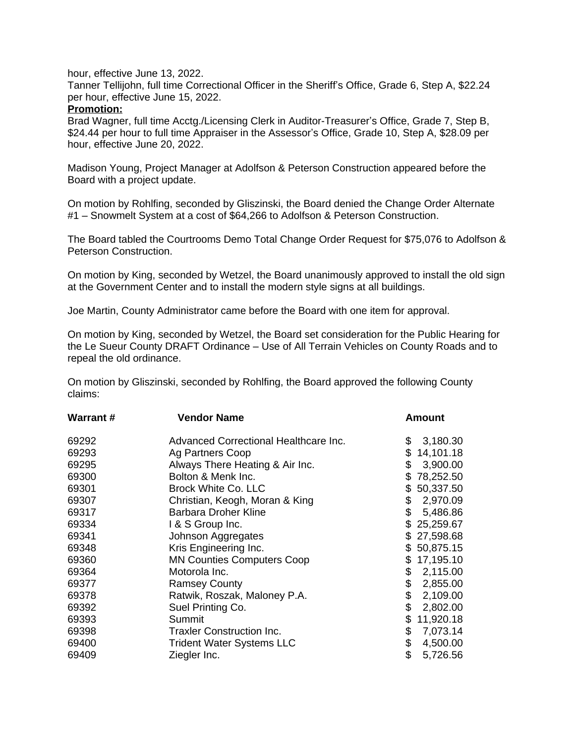hour, effective June 13, 2022.

Tanner Tellijohn, full time Correctional Officer in the Sheriff's Office, Grade 6, Step A, \$22.24 per hour, effective June 15, 2022.

# **Promotion:**

Brad Wagner, full time Acctg./Licensing Clerk in Auditor-Treasurer's Office, Grade 7, Step B, \$24.44 per hour to full time Appraiser in the Assessor's Office, Grade 10, Step A, \$28.09 per hour, effective June 20, 2022.

Madison Young, Project Manager at Adolfson & Peterson Construction appeared before the Board with a project update.

On motion by Rohlfing, seconded by Gliszinski, the Board denied the Change Order Alternate #1 – Snowmelt System at a cost of \$64,266 to Adolfson & Peterson Construction.

The Board tabled the Courtrooms Demo Total Change Order Request for \$75,076 to Adolfson & Peterson Construction.

On motion by King, seconded by Wetzel, the Board unanimously approved to install the old sign at the Government Center and to install the modern style signs at all buildings.

Joe Martin, County Administrator came before the Board with one item for approval.

On motion by King, seconded by Wetzel, the Board set consideration for the Public Hearing for the Le Sueur County DRAFT Ordinance – Use of All Terrain Vehicles on County Roads and to repeal the old ordinance.

On motion by Gliszinski, seconded by Rohlfing, the Board approved the following County claims:

| <b>Warrant#</b> | <b>Vendor Name</b>                    | Amount           |
|-----------------|---------------------------------------|------------------|
| 69292           | Advanced Correctional Healthcare Inc. | \$<br>3,180.30   |
| 69293           | Ag Partners Coop                      | \$<br>14,101.18  |
| 69295           | Always There Heating & Air Inc.       | \$<br>3,900.00   |
| 69300           | Bolton & Menk Inc.                    | 78,252.50<br>\$. |
| 69301           | <b>Brock White Co. LLC</b>            | 50,337.50<br>\$  |
| 69307           | Christian, Keogh, Moran & King        | 2,970.09<br>\$   |
| 69317           | <b>Barbara Droher Kline</b>           | \$<br>5,486.86   |
| 69334           | 1 & S Group Inc.                      | \$<br>25,259.67  |
| 69341           | Johnson Aggregates                    | 27,598.68<br>\$. |
| 69348           | Kris Engineering Inc.                 | 50,875.15<br>\$  |
| 69360           | <b>MN Counties Computers Coop</b>     | 17,195.10<br>\$  |
| 69364           | Motorola Inc.                         | \$<br>2,115.00   |
| 69377           | <b>Ramsey County</b>                  | \$<br>2,855.00   |
| 69378           | Ratwik, Roszak, Maloney P.A.          | \$<br>2,109.00   |
| 69392           | Suel Printing Co.                     | \$<br>2,802.00   |
| 69393           | Summit                                | \$<br>11,920.18  |
| 69398           | <b>Traxler Construction Inc.</b>      | \$<br>7,073.14   |
| 69400           | <b>Trident Water Systems LLC</b>      | \$<br>4,500.00   |
| 69409           | Ziegler Inc.                          | \$<br>5,726.56   |
|                 |                                       |                  |